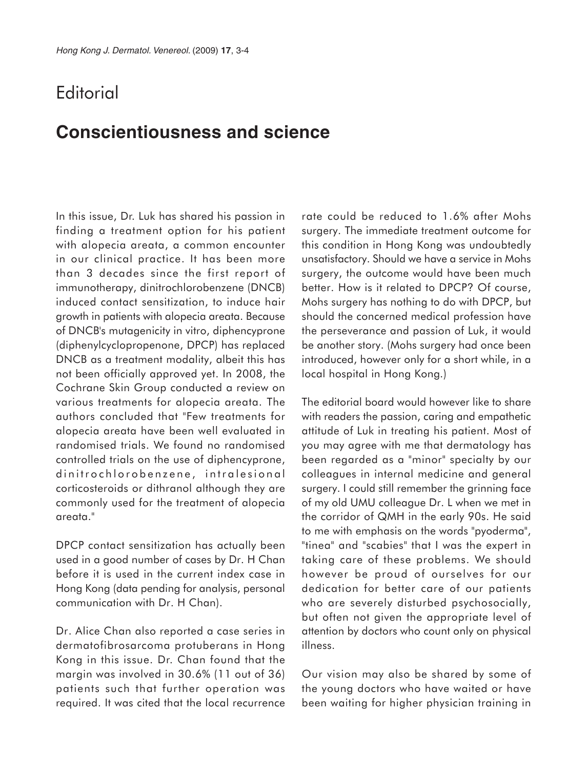## **Editorial**

## **Conscientiousness and science**

In this issue, Dr. Luk has shared his passion in finding a treatment option for his patient with alopecia areata, a common encounter in our clinical practice. It has been more than 3 decades since the first report of immunotherapy, dinitrochlorobenzene (DNCB) induced contact sensitization, to induce hair growth in patients with alopecia areata. Because of DNCB's mutagenicity in vitro, diphencyprone (diphenylcyclopropenone, DPCP) has replaced DNCB as a treatment modality, albeit this has not been officially approved yet. In 2008, the Cochrane Skin Group conducted a review on various treatments for alopecia areata. The authors concluded that "Few treatments for alopecia areata have been well evaluated in randomised trials. We found no randomised controlled trials on the use of diphencyprone, dinitrochlorobenzene, intralesional corticosteroids or dithranol although they are commonly used for the treatment of alopecia areata."

DPCP contact sensitization has actually been used in a good number of cases by Dr. H Chan before it is used in the current index case in Hong Kong (data pending for analysis, personal communication with Dr. H Chan).

Dr. Alice Chan also reported a case series in dermatofibrosarcoma protuberans in Hong Kong in this issue. Dr. Chan found that the margin was involved in 30.6% (11 out of 36) patients such that further operation was required. It was cited that the local recurrence rate could be reduced to 1.6% after Mohs surgery. The immediate treatment outcome for this condition in Hong Kong was undoubtedly unsatisfactory. Should we have a service in Mohs surgery, the outcome would have been much better. How is it related to DPCP? Of course, Mohs surgery has nothing to do with DPCP, but should the concerned medical profession have the perseverance and passion of Luk, it would be another story. (Mohs surgery had once been introduced, however only for a short while, in a local hospital in Hong Kong.)

The editorial board would however like to share with readers the passion, caring and empathetic attitude of Luk in treating his patient. Most of you may agree with me that dermatology has been regarded as a "minor" specialty by our colleagues in internal medicine and general surgery. I could still remember the grinning face of my old UMU colleague Dr. L when we met in the corridor of QMH in the early 90s. He said to me with emphasis on the words "pyoderma", "tinea" and "scabies" that I was the expert in taking care of these problems. We should however be proud of ourselves for our dedication for better care of our patients who are severely disturbed psychosocially, but often not given the appropriate level of attention by doctors who count only on physical illness.

Our vision may also be shared by some of the young doctors who have waited or have been waiting for higher physician training in